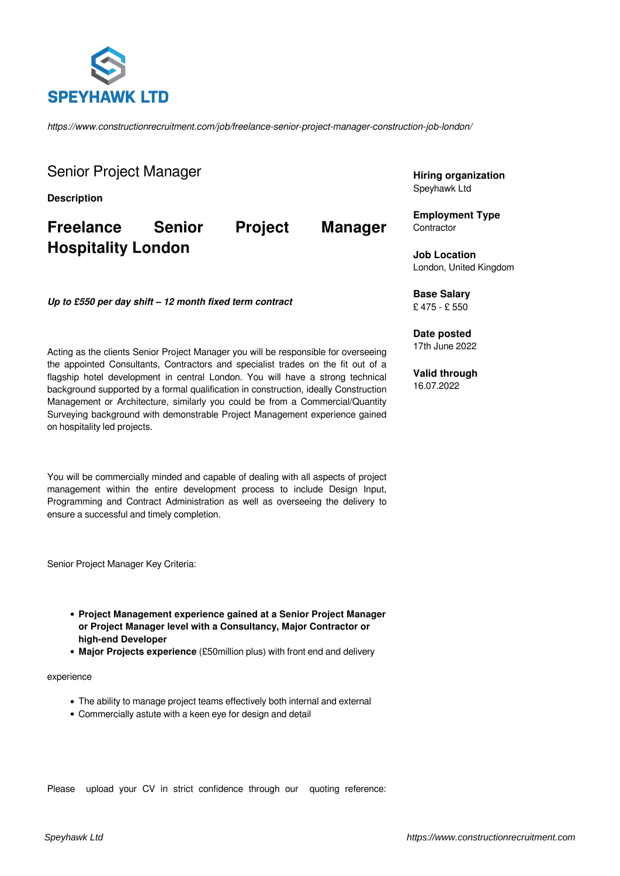

*https://www.constructionrecruitment.com/job/freelance-senior-project-manager-construction-job-london/*

Senior Project Manager

**Description**

**Freelance Senior Project Manager Hospitality London**

*Up to £550 per day shift – 12 month fixed term contract*

Acting as the clients Senior Project Manager you will be responsible for overseeing the appointed Consultants, Contractors and specialist trades on the fit out of a flagship hotel development in central London. You will have a strong technical background supported by a formal qualification in construction, ideally Construction Management or Architecture, similarly you could be from a Commercial/Quantity Surveying background with demonstrable Project Management experience gained on hospitality led projects.

You will be commercially minded and capable of dealing with all aspects of project management within the entire development process to include Design Input, Programming and Contract Administration as well as overseeing the delivery to ensure a successful and timely completion.

Senior Project Manager Key Criteria:

- **Project Management experience gained at a Senior Project Manager or Project Manager level with a Consultancy, Major Contractor or high-end Developer**
- **Major Projects experience** (£50million plus) with front end and delivery

## experience

- The ability to manage project teams effectively both internal and external
- Commercially astute with a keen eye for design and detail

Please upload your CV in strict confidence through our quoting reference:

**Hiring organization** Speyhawk Ltd

**Employment Type Contractor** 

**Job Location** London, United Kingdom

**Base Salary** £ 475 - £ 550

**Date posted** 17th June 2022

**Valid through** 16.07.2022